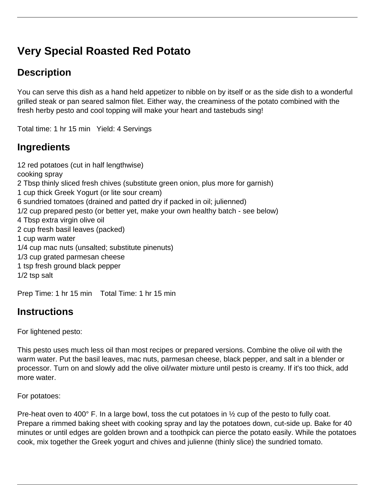# **Very Special Roasted Red Potato**

## **Description**

You can serve this dish as a hand held appetizer to nibble on by itself or as the side dish to a wonderful grilled steak or pan seared salmon filet. Either way, the creaminess of the potato combined with the fresh herby pesto and cool topping will make your heart and tastebuds sing!

Total time: 1 hr 15 min Yield: 4 Servings

### **Ingredients**

12 red potatoes (cut in half lengthwise) cooking spray 2 Tbsp thinly sliced fresh chives (substitute green onion, plus more for garnish) 1 cup thick Greek Yogurt (or lite sour cream) 6 sundried tomatoes (drained and patted dry if packed in oil; julienned) 1/2 cup prepared pesto (or better yet, make your own healthy batch - see below) 4 Tbsp extra virgin olive oil 2 cup fresh basil leaves (packed) 1 cup warm water 1/4 cup mac nuts (unsalted; substitute pinenuts) 1/3 cup grated parmesan cheese 1 tsp fresh ground black pepper 1/2 tsp salt

Prep Time: 1 hr 15 min Total Time: 1 hr 15 min

### **Instructions**

For lightened pesto:

This pesto uses much less oil than most recipes or prepared versions. Combine the olive oil with the warm water. Put the basil leaves, mac nuts, parmesan cheese, black pepper, and salt in a blender or processor. Turn on and slowly add the olive oil/water mixture until pesto is creamy. If it's too thick, add more water.

For potatoes:

Pre-heat oven to 400° F. In a large bowl, toss the cut potatoes in 1/2 cup of the pesto to fully coat. Prepare a rimmed baking sheet with cooking spray and lay the potatoes down, cut-side up. Bake for 40 minutes or until edges are golden brown and a toothpick can pierce the potato easily. While the potatoes cook, mix together the Greek yogurt and chives and julienne (thinly slice) the sundried tomato.